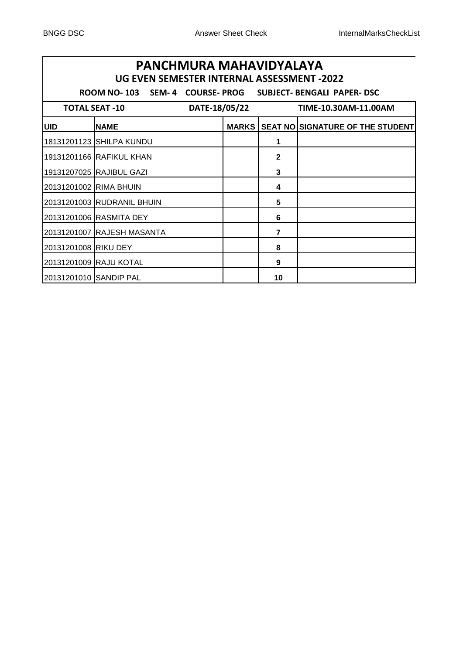| PANCHMURA MAHAVIDYALAYA<br>UG EVEN SEMESTER INTERNAL ASSESSMENT -2022 |                                                                        |               |              |                                  |  |  |  |
|-----------------------------------------------------------------------|------------------------------------------------------------------------|---------------|--------------|----------------------------------|--|--|--|
|                                                                       | SEM-4 COURSE-PROG<br><b>ROOM NO-103</b><br>SUBJECT- BENGALI PAPER- DSC |               |              |                                  |  |  |  |
|                                                                       | <b>TOTAL SEAT -10</b>                                                  | DATE-18/05/22 |              | TIME-10.30AM-11.00AM             |  |  |  |
| <b>UID</b>                                                            | <b>NAME</b>                                                            | <b>MARKS</b>  |              | SEAT NO SIGNATURE OF THE STUDENT |  |  |  |
|                                                                       | 18131201123 SHILPA KUNDU                                               |               | 1            |                                  |  |  |  |
|                                                                       | 19131201166 RAFIKUL KHAN                                               |               | $\mathbf{2}$ |                                  |  |  |  |
|                                                                       | 19131207025 RAJIBUL GAZI                                               |               | 3            |                                  |  |  |  |
| 20131201002 RIMA BHUIN                                                |                                                                        |               | 4            |                                  |  |  |  |
|                                                                       | 20131201003 RUDRANIL BHUIN                                             |               | 5            |                                  |  |  |  |
|                                                                       | 20131201006 RASMITA DEY                                                |               | 6            |                                  |  |  |  |
|                                                                       | 20131201007 RAJESH MASANTA                                             |               | 7            |                                  |  |  |  |
| 20131201008 RIKU DEY                                                  |                                                                        |               | 8            |                                  |  |  |  |
|                                                                       | 20131201009 RAJU KOTAL                                                 |               | 9            |                                  |  |  |  |
| 20131201010 SANDIP PAL                                                |                                                                        |               | 10           |                                  |  |  |  |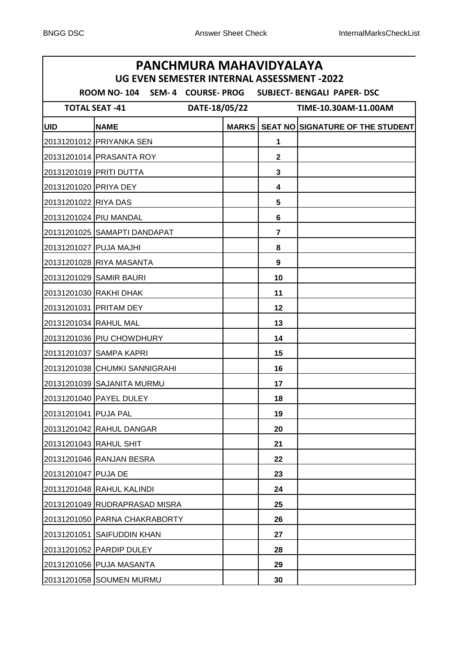# **UID NAME MARKS SEAT NO SIGNATURE OF THE STUDENT** PRIYANKA SEN **1** PRASANTA ROY **2** PRITI DUTTA **3** PRIYA DEY **4** RIYA DAS **5** PIU MANDAL **6** SAMAPTI DANDAPAT **7** PUJA MAJHI **8** RIYA MASANTA **9** SAMIR BAURI **10** 20131201030 RAKHI DHAK **11** 11 PRITAM DEY **12** RAHUL MAL **13** PIU CHOWDHURY **14** SAMPA KAPRI **15** CHUMKI SANNIGRAHI **16** SAJANITA MURMU **17** PAYEL DULEY **18** PUJA PAL **19** RAHUL DANGAR **20** RAHUL SHIT **21** RANJAN BESRA **22** PUJA DE **23** RAHUL KALINDI **24** RUDRAPRASAD MISRA **25** PARNA CHAKRABORTY **26** SAIFUDDIN KHAN **27** PARDIP DULEY **28** PUJA MASANTA **29** SOUMEN MURMU **30 PANCHMURA MAHAVIDYALAYA UG EVEN SEMESTER INTERNAL ASSESSMENT -2022 ROOM NO- 104 SEM- 4 COURSE- PROG SUBJECT- BENGALI PAPER- DSC TOTAL SEAT -41 DATE-18/05/22 TIME-10.30AM-11.00AM**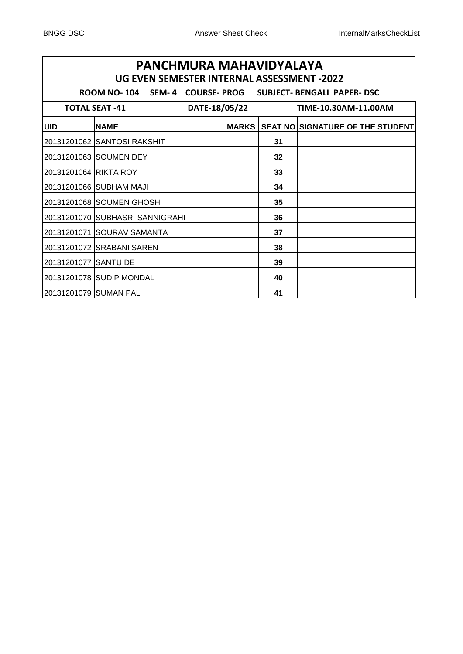# **UID NAME MARKS SEAT NO SIGNATURE OF THE STUDENT** SANTOSI RAKSHIT **31** SOUMEN DEY **32** RIKTA ROY **33** SUBHAM MAJI **34** SOUMEN GHOSH **35** SUBHASRI SANNIGRAHI **36** SOURAV SAMANTA **37** SRABANI SAREN **38** SANTU DE **39** SUDIP MONDAL **40** SUMAN PAL **41 PANCHMURA MAHAVIDYALAYA UG EVEN SEMESTER INTERNAL ASSESSMENT -2022 ROOM NO- 104 SEM- 4 COURSE- PROG SUBJECT- BENGALI PAPER- DSC TOTAL SEAT -41 DATE-18/05/22 TIME-10.30AM-11.00AM**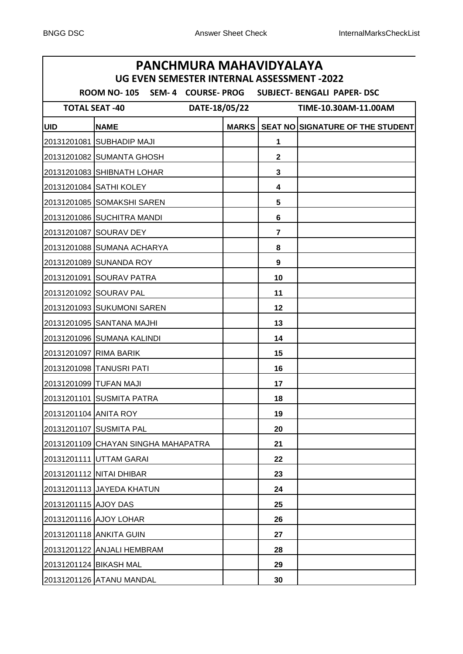# **UID NAME MARKS SEAT NO SIGNATURE OF THE STUDENT** SUBHADIP MAJI **1** SUMANTA GHOSH **2** SHIBNATH LOHAR **3** SATHI KOLEY **4** SOMAKSHI SAREN **5** SUCHITRA MANDI **6** SOURAV DEY **7** SUMANA ACHARYA **8** SUNANDA ROY **9** SOURAV PATRA **10** 20131201092 SOURAV PAL **11** 11 SUKUMONI SAREN **12** SANTANA MAJHI **13** SUMANA KALINDI **14** RIMA BARIK **15** TANUSRI PATI **16** TUFAN MAJI **17** SUSMITA PATRA **18** ANITA ROY **19** SUSMITA PAL **20** CHAYAN SINGHA MAHAPATRA **21** UTTAM GARAI **22** NITAI DHIBAR **23** JAYEDA KHATUN **24** AJOY DAS **25** AJOY LOHAR **26** ANKITA GUIN **27** ANJALI HEMBRAM **28** BIKASH MAL **29** ATANU MANDAL **30 PANCHMURA MAHAVIDYALAYA UG EVEN SEMESTER INTERNAL ASSESSMENT -2022 ROOM NO- 105 SEM- 4 COURSE- PROG SUBJECT- BENGALI PAPER- DSC TOTAL SEAT -40 DATE-18/05/22 TIME-10.30AM-11.00AM**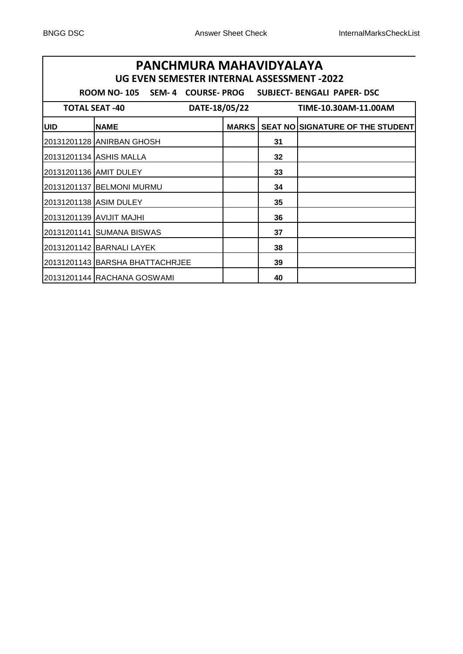| PANCHMURA MAHAVIDYALAYA<br>UG EVEN SEMESTER INTERNAL ASSESSMENT - 2022 |                                                                        |              |    |                                         |  |  |  |
|------------------------------------------------------------------------|------------------------------------------------------------------------|--------------|----|-----------------------------------------|--|--|--|
|                                                                        | SEM-4 COURSE-PROG<br><b>ROOM NO-105</b><br>SUBJECT- BENGALI PAPER- DSC |              |    |                                         |  |  |  |
|                                                                        | DATE-18/05/22<br><b>TOTAL SEAT -40</b>                                 |              |    | TIME-10.30AM-11.00AM                    |  |  |  |
| <b>UID</b>                                                             | <b>NAME</b>                                                            | <b>MARKS</b> |    | <b>SEAT NO SIGNATURE OF THE STUDENT</b> |  |  |  |
|                                                                        | 20131201128 ANIRBAN GHOSH                                              |              | 31 |                                         |  |  |  |
|                                                                        | 20131201134 ASHIS MALLA                                                |              | 32 |                                         |  |  |  |
|                                                                        |                                                                        |              | 33 |                                         |  |  |  |
|                                                                        | 20131201137 BELMONI MURMU                                              |              | 34 |                                         |  |  |  |
| 20131201138 ASIM DULEY                                                 |                                                                        |              | 35 |                                         |  |  |  |
|                                                                        | 20131201139 AVIJIT MAJHI                                               |              | 36 |                                         |  |  |  |
|                                                                        | 20131201141 SUMANA BISWAS                                              |              | 37 |                                         |  |  |  |
|                                                                        | 20131201142 BARNALI LAYEK                                              |              | 38 |                                         |  |  |  |
|                                                                        | 20131201143 BARSHA BHATTACHRJEE                                        |              | 39 |                                         |  |  |  |
|                                                                        | 20131201144 RACHANA GOSWAMI                                            |              | 40 |                                         |  |  |  |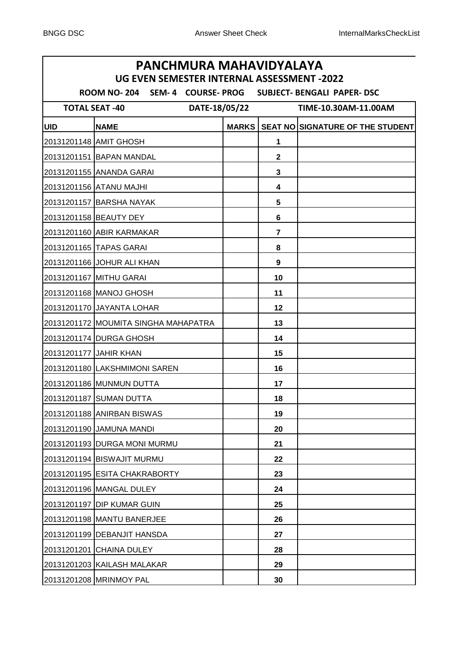# **UID NAME MARKS SEAT NO SIGNATURE OF THE STUDENT** AMIT GHOSH **1** BAPAN MANDAL **2** ANANDA GARAI **3** ATANU MAJHI **4** BARSHA NAYAK **5** BEAUTY DEY **6** ABIR KARMAKAR **7** TAPAS GARAI **8** JOHUR ALI KHAN **9** MITHU GARAI **10** MANOJ GHOSH **11** JAYANTA LOHAR **12** MOUMITA SINGHA MAHAPATRA **13** DURGA GHOSH **14** JAHIR KHAN **15** LAKSHMIMONI SAREN **16** MUNMUN DUTTA **17** SUMAN DUTTA **18** ANIRBAN BISWAS **19** JAMUNA MANDI **20** DURGA MONI MURMU **21** BISWAJIT MURMU **22** ESITA CHAKRABORTY **23** MANGAL DULEY **24** DIP KUMAR GUIN **25** MANTU BANERJEE **26** DEBANJIT HANSDA **27** CHAINA DULEY **28** KAILASH MALAKAR **29** MRINMOY PAL **30 PANCHMURA MAHAVIDYALAYA UG EVEN SEMESTER INTERNAL ASSESSMENT -2022 ROOM NO- 204 SEM- 4 COURSE- PROG SUBJECT- BENGALI PAPER- DSC TOTAL SEAT -40 DATE-18/05/22 TIME-10.30AM-11.00AM**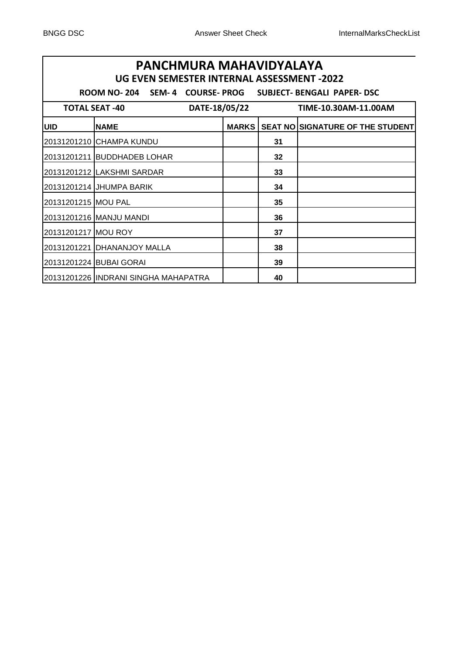| PANCHMURA MAHAVIDYALAYA<br>UG EVEN SEMESTER INTERNAL ASSESSMENT -2022 |                                                                       |               |              |                      |                                         |  |
|-----------------------------------------------------------------------|-----------------------------------------------------------------------|---------------|--------------|----------------------|-----------------------------------------|--|
|                                                                       | SEM- 4 COURSE-PROG SUBJECT- BENGALI PAPER- DSC<br><b>ROOM NO- 204</b> |               |              |                      |                                         |  |
|                                                                       | <b>TOTAL SEAT -40</b>                                                 | DATE-18/05/22 |              | TIME-10.30AM-11.00AM |                                         |  |
| <b>UID</b>                                                            | <b>NAME</b>                                                           |               | <b>MARKS</b> |                      | <b>SEAT NO SIGNATURE OF THE STUDENT</b> |  |
|                                                                       | 20131201210 CHAMPA KUNDU                                              |               |              | 31                   |                                         |  |
|                                                                       | 20131201211  BUDDHADEB LOHAR                                          |               |              | 32                   |                                         |  |
|                                                                       | 20131201212   LAKSHMI SARDAR                                          |               |              | 33                   |                                         |  |
|                                                                       | 20131201214 JHUMPA BARIK                                              |               |              | 34                   |                                         |  |
| 20131201215 MOU PAL                                                   |                                                                       |               |              | 35                   |                                         |  |
|                                                                       | 20131201216 MANJU MANDI                                               |               |              | 36                   |                                         |  |
| 20131201217 MOU ROY                                                   |                                                                       |               |              | 37                   |                                         |  |
|                                                                       | 20131201221 DHANANJOY MALLA                                           |               |              | 38                   |                                         |  |
|                                                                       | 20131201224 BUBAI GORAI                                               |               |              | 39                   |                                         |  |
|                                                                       | 20131201226 INDRANI SINGHA MAHAPATRA                                  |               |              | 40                   |                                         |  |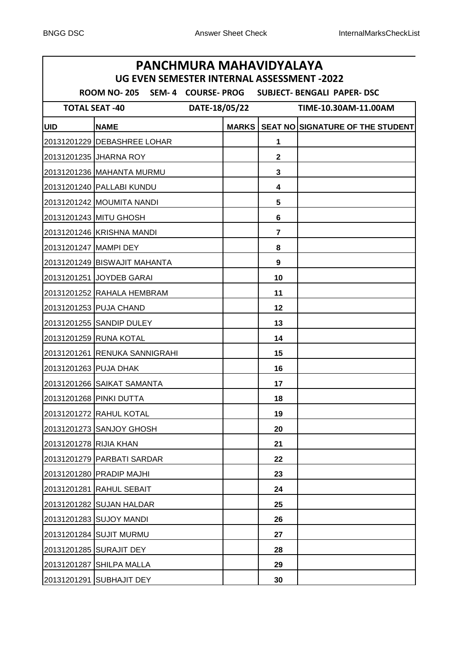# **UID NAME MARKS SEAT NO SIGNATURE OF THE STUDENT** DEBASHREE LOHAR **1** JHARNA ROY **2** MAHANTA MURMU **3** PALLABI KUNDU **4** MOUMITA NANDI **5** MITU GHOSH **6** KRISHNA MANDI **7** MAMPI DEY **8** BISWAJIT MAHANTA **9** JOYDEB GARAI **10** RAHALA HEMBRAM **11** PUJA CHAND **12** SANDIP DULEY **13** RUNA KOTAL **14** RENUKA SANNIGRAHI **15** PUJA DHAK **16** SAIKAT SAMANTA **17** PINKI DUTTA **18** RAHUL KOTAL **19** SANJOY GHOSH **20** RIJIA KHAN **21** PARBATI SARDAR **22** PRADIP MAJHI **23** RAHUL SEBAIT **24** SUJAN HALDAR **25** SUJOY MANDI **26** SUJIT MURMU **27** SURAJIT DEY **28** SHILPA MALLA **29** SUBHAJIT DEY **30 PANCHMURA MAHAVIDYALAYA UG EVEN SEMESTER INTERNAL ASSESSMENT -2022 ROOM NO- 205 SEM- 4 COURSE- PROG SUBJECT- BENGALI PAPER- DSC TOTAL SEAT -40 DATE-18/05/22 TIME-10.30AM-11.00AM**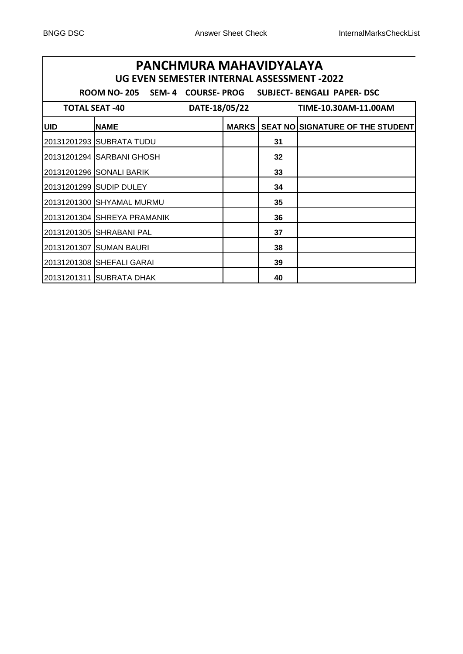| PANCHMURA MAHAVIDYALAYA<br>UG EVEN SEMESTER INTERNAL ASSESSMENT -2022 |                                                                         |               |              |                      |                                  |  |  |
|-----------------------------------------------------------------------|-------------------------------------------------------------------------|---------------|--------------|----------------------|----------------------------------|--|--|
|                                                                       | SEM-4 COURSE-PROG<br><b>ROOM NO- 205</b><br>SUBJECT- BENGALI PAPER- DSC |               |              |                      |                                  |  |  |
|                                                                       | <b>TOTAL SEAT -40</b>                                                   | DATE-18/05/22 |              | TIME-10.30AM-11.00AM |                                  |  |  |
| <b>UID</b>                                                            | <b>NAME</b>                                                             |               | <b>MARKS</b> |                      | SEAT NO SIGNATURE OF THE STUDENT |  |  |
|                                                                       | 20131201293 SUBRATA TUDU                                                |               |              | 31                   |                                  |  |  |
|                                                                       | 20131201294 SARBANI GHOSH                                               |               |              | 32                   |                                  |  |  |
|                                                                       | 20131201296 SONALI BARIK                                                |               |              | 33                   |                                  |  |  |
|                                                                       | 20131201299 SUDIP DULEY                                                 |               |              | 34                   |                                  |  |  |
|                                                                       | 20131201300 SHYAMAL MURMU                                               |               |              | 35                   |                                  |  |  |
|                                                                       | 20131201304 SHREYA PRAMANIK                                             |               |              | 36                   |                                  |  |  |
|                                                                       | 20131201305 SHRABANI PAL                                                |               |              | 37                   |                                  |  |  |
|                                                                       | 20131201307 SUMAN BAURI                                                 |               |              | 38                   |                                  |  |  |
|                                                                       | 20131201308 SHEFALI GARAI                                               |               |              | 39                   |                                  |  |  |
|                                                                       | 20131201311 SUBRATA DHAK                                                |               |              | 40                   |                                  |  |  |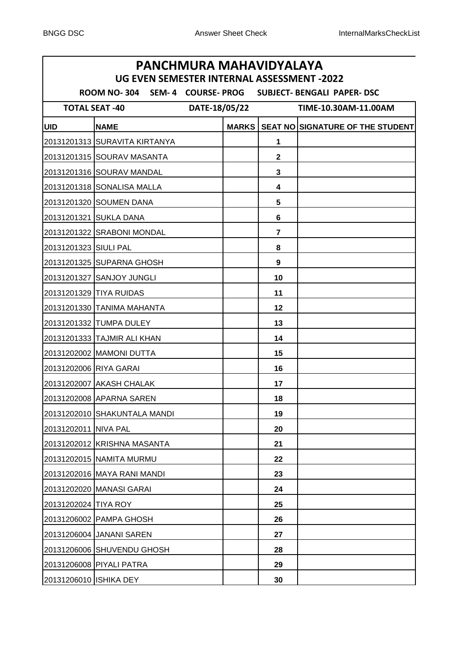# **UID NAME MARKS SEAT NO SIGNATURE OF THE STUDENT** SURAVITA KIRTANYA **1** SOURAV MASANTA **2** SOURAV MANDAL **3** SONALISA MALLA **4** SOUMEN DANA **5** SUKLA DANA **6** SRABONI MONDAL **7** SIULI PAL **8** SUPARNA GHOSH **9** SANJOY JUNGLI **10** TIYA RUIDAS **11** TANIMA MAHANTA **12** TUMPA DULEY **13** TAJMIR ALI KHAN **14** MAMONI DUTTA **15** RIYA GARAI **16** AKASH CHALAK **17** APARNA SAREN **18** SHAKUNTALA MANDI **19** NIVA PAL **20** KRISHNA MASANTA **21** NAMITA MURMU **22** MAYA RANI MANDI **23** MANASI GARAI **24** TIYA ROY **25** PAMPA GHOSH **26** JANANI SAREN **27** SHUVENDU GHOSH **28** PIYALI PATRA **29** ISHIKA DEY **30 PANCHMURA MAHAVIDYALAYA UG EVEN SEMESTER INTERNAL ASSESSMENT -2022 ROOM NO- 304 SEM- 4 COURSE- PROG SUBJECT- BENGALI PAPER- DSC TOTAL SEAT -40 DATE-18/05/22 TIME-10.30AM-11.00AM**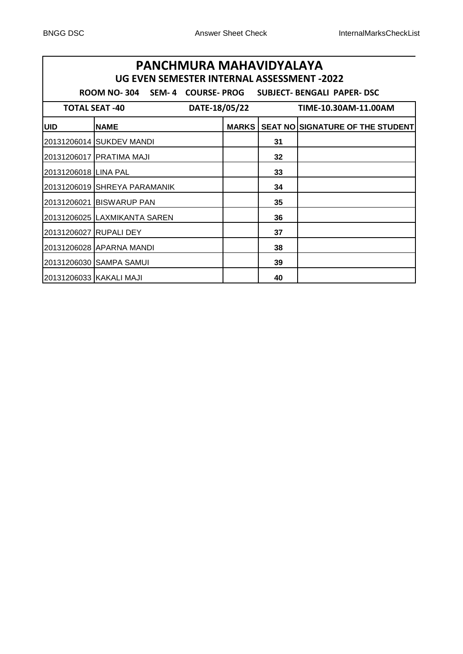| PANCHMURA MAHAVIDYALAYA<br>UG EVEN SEMESTER INTERNAL ASSESSMENT -2022 |                                                                     |              |    |                                  |  |  |  |
|-----------------------------------------------------------------------|---------------------------------------------------------------------|--------------|----|----------------------------------|--|--|--|
|                                                                       | ROOM NO-304 SEM-4 COURSE-PROG<br><b>SUBJECT- BENGALI PAPER- DSC</b> |              |    |                                  |  |  |  |
|                                                                       | DATE-18/05/22<br><b>TOTAL SEAT -40</b>                              |              |    | TIME-10.30AM-11.00AM             |  |  |  |
| <b>UID</b>                                                            | <b>NAME</b>                                                         | <b>MARKS</b> |    | SEAT NO SIGNATURE OF THE STUDENT |  |  |  |
|                                                                       | 20131206014 SUKDEV MANDI                                            |              | 31 |                                  |  |  |  |
|                                                                       | 20131206017 PRATIMA MAJI                                            |              | 32 |                                  |  |  |  |
| 20131206018 LINA PAL                                                  |                                                                     |              | 33 |                                  |  |  |  |
|                                                                       | 20131206019 SHREYA PARAMANIK                                        |              | 34 |                                  |  |  |  |
|                                                                       | 20131206021 BISWARUP PAN                                            |              | 35 |                                  |  |  |  |
|                                                                       | 20131206025 LAXMIKANTA SAREN                                        |              | 36 |                                  |  |  |  |
| 20131206027 RUPALI DEY                                                |                                                                     |              | 37 |                                  |  |  |  |
|                                                                       |                                                                     |              | 38 |                                  |  |  |  |
|                                                                       | 20131206030 ISAMPA SAMUI                                            |              | 39 |                                  |  |  |  |
| 20131206033 KAKALI MAJI                                               |                                                                     |              | 40 |                                  |  |  |  |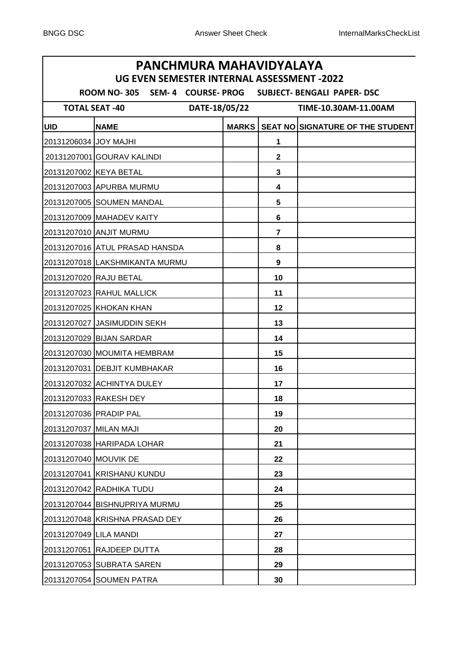# **UID NAME MARKS SEAT NO SIGNATURE OF THE STUDENT** JOY MAJHI **1** GOURAV KALINDI **2** KEYA BETAL **3** APURBA MURMU **4** SOUMEN MANDAL **5** MAHADEV KAITY **6** ANJIT MURMU **7** ATUL PRASAD HANSDA **8** LAKSHMIKANTA MURMU **9** RAJU BETAL **10** 20131207023 RAHUL MALLICK **11** 11 KHOKAN KHAN **12** JASIMUDDIN SEKH **13** BIJAN SARDAR **14** MOUMITA HEMBRAM **15** DEBJIT KUMBHAKAR **16** ACHINTYA DULEY **17** RAKESH DEY **18** PRADIP PAL **19** MILAN MAJI **20** HARIPADA LOHAR **21** MOUVIK DE **22** KRISHANU KUNDU **23** RADHIKA TUDU **24** BISHNUPRIYA MURMU **25** KRISHNA PRASAD DEY **26** LILA MANDI **27** RAJDEEP DUTTA **28** SUBRATA SAREN **29** SOUMEN PATRA **30 PANCHMURA MAHAVIDYALAYA UG EVEN SEMESTER INTERNAL ASSESSMENT -2022 ROOM NO- 305 SEM- 4 COURSE- PROG SUBJECT- BENGALI PAPER- DSC TOTAL SEAT -40 DATE-18/05/22 TIME-10.30AM-11.00AM**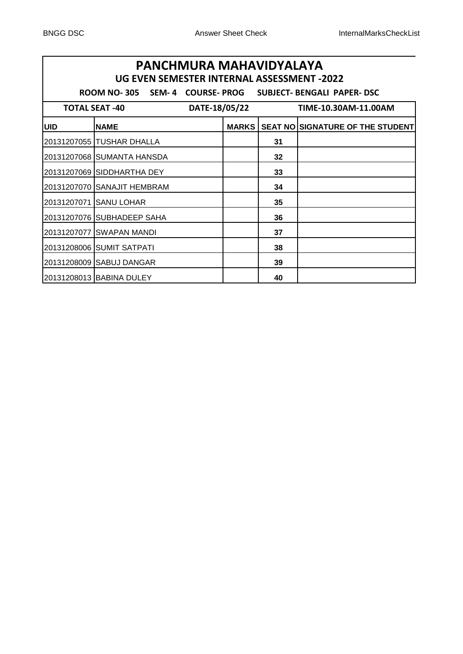| PANCHMURA MAHAVIDYALAYA<br>UG EVEN SEMESTER INTERNAL ASSESSMENT -2022 |                                                                     |               |              |                      |                                         |  |
|-----------------------------------------------------------------------|---------------------------------------------------------------------|---------------|--------------|----------------------|-----------------------------------------|--|
|                                                                       | SEM- 4 COURSE-PROG SUBJECT- BENGALI PAPER-DSC<br><b>ROOM NO-305</b> |               |              |                      |                                         |  |
|                                                                       | <b>TOTAL SEAT -40</b>                                               | DATE-18/05/22 |              | TIME-10.30AM-11.00AM |                                         |  |
| <b>UID</b>                                                            | <b>NAME</b>                                                         |               | <b>MARKS</b> |                      | <b>SEAT NO SIGNATURE OF THE STUDENT</b> |  |
|                                                                       | 20131207055 TUSHAR DHALLA                                           |               |              | 31                   |                                         |  |
|                                                                       | 20131207068 SUMANTA HANSDA                                          |               |              | 32                   |                                         |  |
|                                                                       | 20131207069 SIDDHARTHA DEY                                          |               |              | 33                   |                                         |  |
|                                                                       | 20131207070 SANAJIT HEMBRAM                                         |               |              | 34                   |                                         |  |
|                                                                       | 20131207071 SANU LOHAR                                              |               |              | 35                   |                                         |  |
|                                                                       | 20131207076 SUBHADEEP SAHA                                          |               |              | 36                   |                                         |  |
|                                                                       | 20131207077 SWAPAN MANDI                                            |               |              | 37                   |                                         |  |
|                                                                       | 20131208006 SUMIT SATPATI                                           |               |              | 38                   |                                         |  |
|                                                                       | 20131208009 SABUJ DANGAR                                            |               |              | 39                   |                                         |  |
|                                                                       | 20131208013 BABINA DULEY                                            |               |              | 40                   |                                         |  |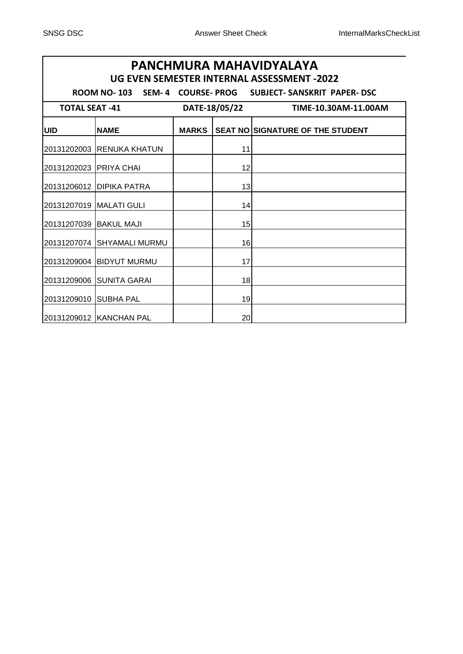# **UID NAME MARKS SEAT NO SIGNATURE OF THE STUDENT** 20131202003 RENUKA KHATUN | 11 20131202023 PRIYA CHAI 1 12 20131206012 DIPIKA PATRA | 13 20131207019 MALATI GULI | 14 20131207039 BAKUL MAJI | 15 20131207074 SHYAMALI MURMU | 16 20131209004 BIDYUT MURMU | 17 20131209006 SUNITA GARAI | 18 20131209010 SUBHA PAL 19 20131209012 KANCHAN PAL | 20 **PANCHMURA MAHAVIDYALAYA UG EVEN SEMESTER INTERNAL ASSESSMENT -2022 ROOM NO- 103 SEM- 4 COURSE- PROG SUBJECT- SANSKRIT PAPER- DSC TOTAL SEAT -41 DATE-18/05/22 TIME-10.30AM-11.00AM**